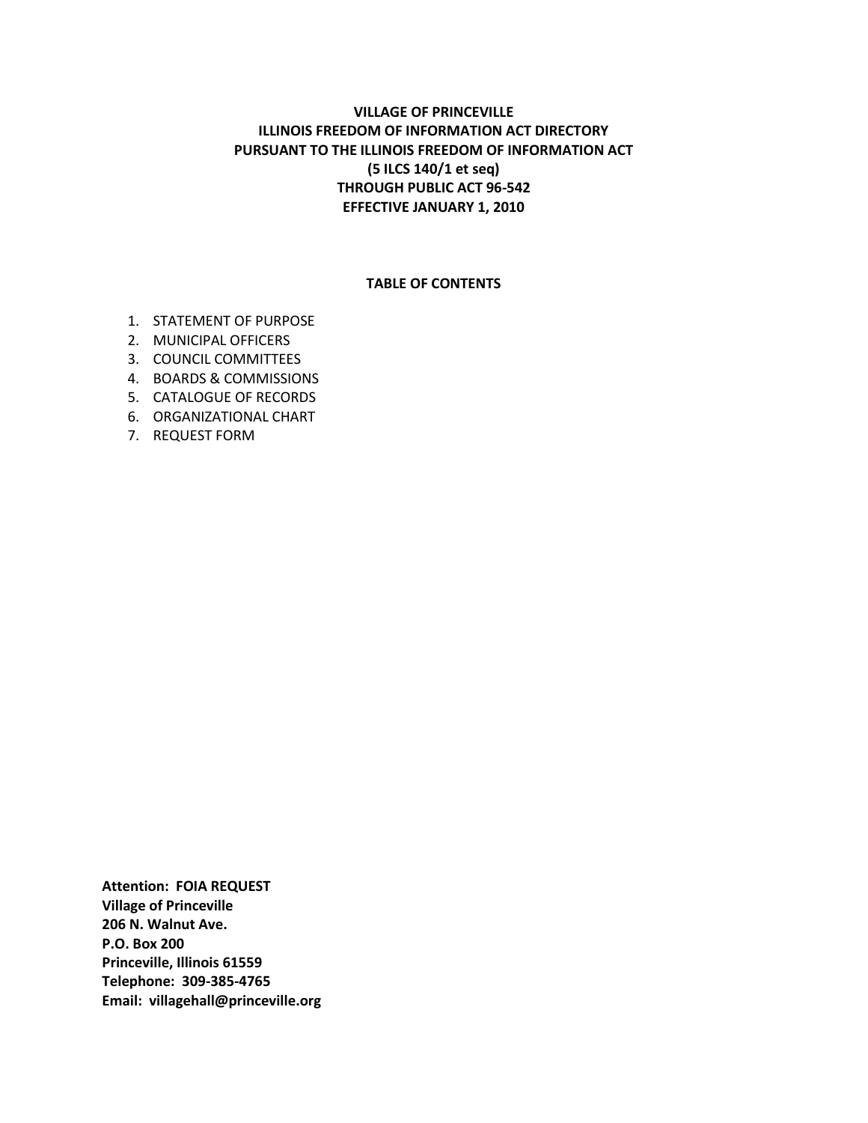# **VILLAGE OF PRINCEVILLE ILLINOIS FREEDOM OF INFORMATION ACT DIRECTORY PURSUANT TO THE ILLINOIS FREEDOM OF INFORMATION ACT (5 ILCS 140/1 et seq) THROUGH PUBLIC ACT 96-542 EFFECTIVE JANUARY 1, 2010**

#### **TABLE OF CONTENTS**

- 1. STATEMENT OF PURPOSE
- 2. MUNICIPAL OFFICERS
- 3. COUNCIL COMMITTEES
- 4. BOARDS & COMMISSIONS
- 5. CATALOGUE OF RECORDS
- 6. ORGANIZATIONAL CHART
- 7. REQUEST FORM

**Attention: FOIA REQUEST Village of Princeville 206 N. Walnut Ave. P.O. Box 200 Princeville, Illinois 61559 Telephone: 309-385-4765 Email: [villagehall@princeville.org](mailto:villagehall@princeville.org)**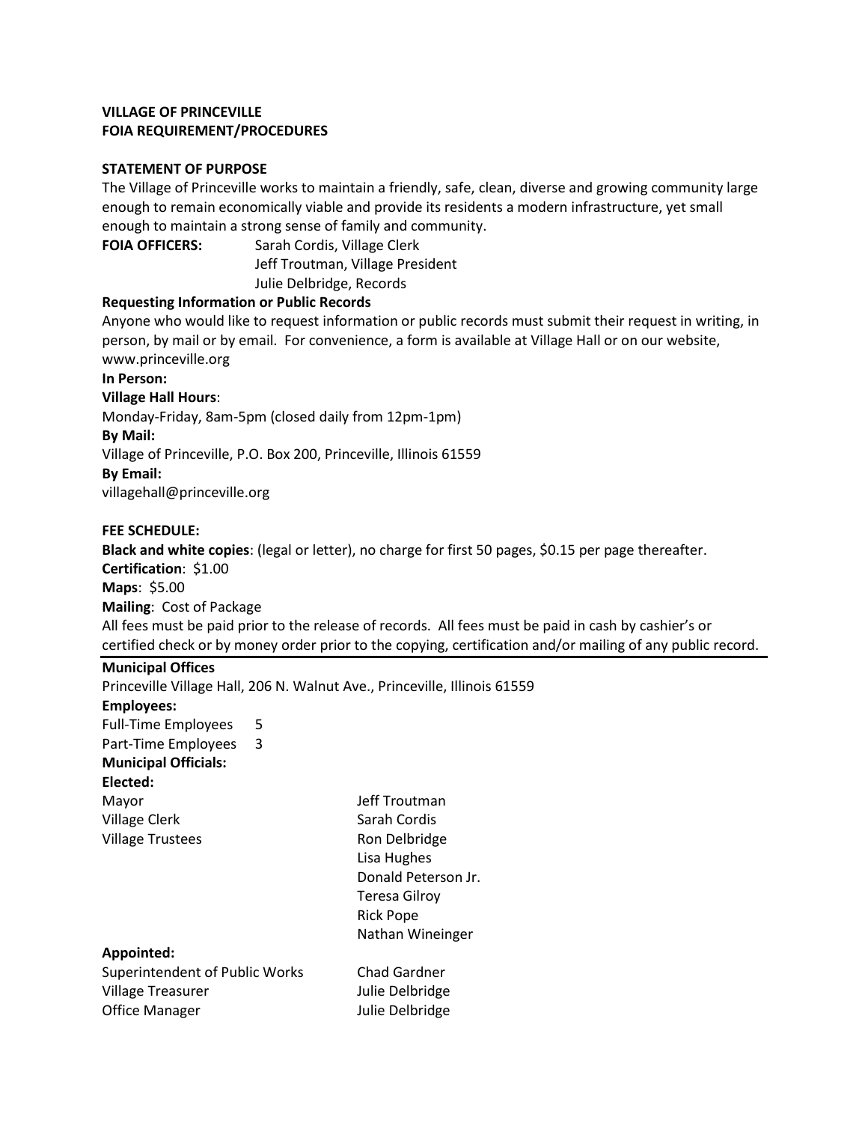#### **STATEMENT OF PURPOSE**

The Village of Princeville works to maintain a friendly, safe, clean, diverse and growing community large enough to remain economically viable and provide its residents a modern infrastructure, yet small enough to maintain a strong sense of family and community.

**FOIA OFFICERS:** Sarah Cordis, Village Clerk Jeff Troutman, Village President Julie Delbridge, Records

## **Requesting Information or Public Records**

Anyone who would like to request information or public records must submit their request in writing, in person, by mail or by email. For convenience, a form is available at Village Hall or on our website, [www.princeville.org](http://www.princeville.org/)

**In Person:**

**Village Hall Hours**:

Monday-Friday, 8am-5pm (closed daily from 12pm-1pm)

#### **By Mail:**

Village of Princeville, P.O. Box 200, Princeville, Illinois 61559

#### **By Email:**

[villagehall@princeville.org](mailto:villagehall@princeville.org)

## **FEE SCHEDULE:**

**Black and white copies**: (legal or letter), no charge for first 50 pages, \$0.15 per page thereafter. **Certification**: \$1.00 **Maps**: \$5.00 **Mailing**: Cost of Package All fees must be paid prior to the release of records. All fees must be paid in cash by cashier's or certified check or by money order prior to the copying, certification and/or mailing of any public record.

## **Municipal Offices**

Princeville Village Hall, 206 N. Walnut Ave., Princeville, Illinois 61559 **Employees:** Full-Time Employees 5 Part-Time Employees 3 **Municipal Officials: Elected:** Mayor **Mayor** Jeff Troutman Village Clerk Sarah Cordis Village Trustees **Ron** Delbridge Lisa Hughes Donald Peterson Jr. Teresa Gilroy Rick Pope Nathan Wineinger **Appointed:** Superintendent of Public Works Chad Gardner Village Treasurer Julie Delbridge Office Manager **Julie Delbridge**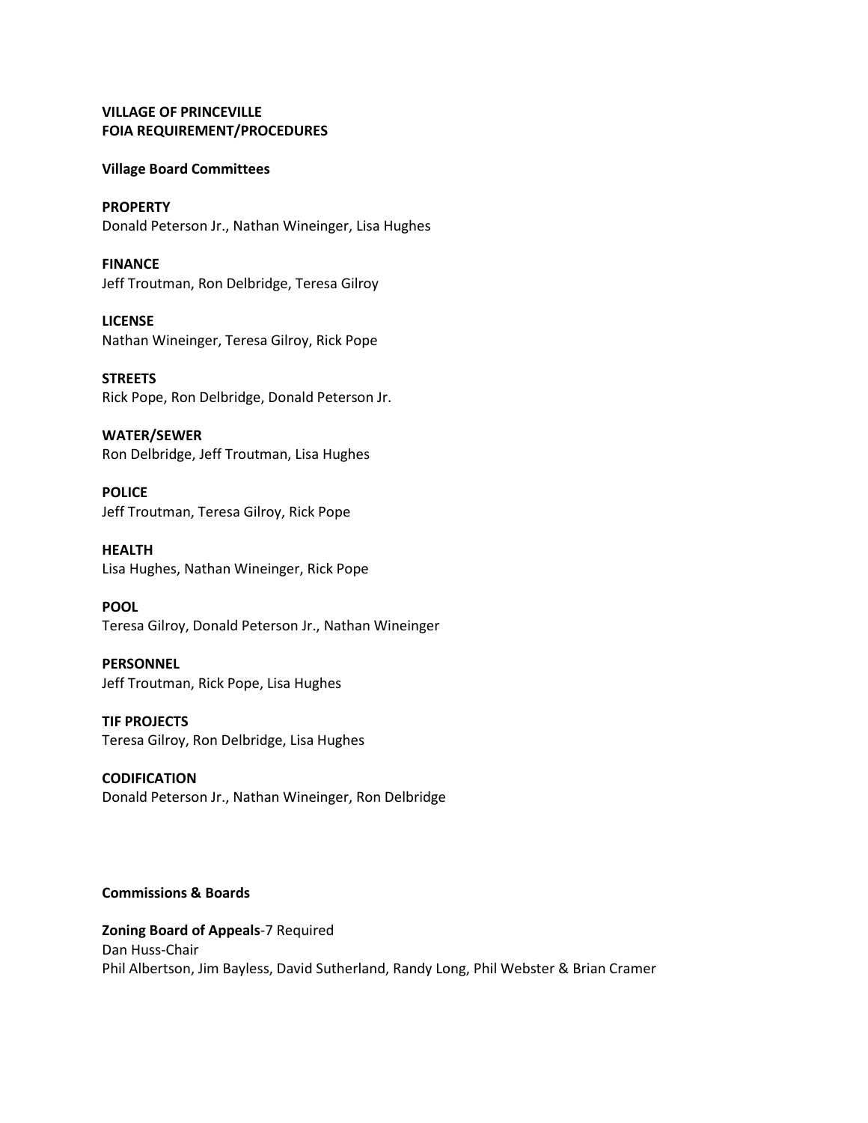#### **Village Board Committees**

**PROPERTY** Donald Peterson Jr., Nathan Wineinger, Lisa Hughes

**FINANCE** Jeff Troutman, Ron Delbridge, Teresa Gilroy

**LICENSE** Nathan Wineinger, Teresa Gilroy, Rick Pope

**STREETS** Rick Pope, Ron Delbridge, Donald Peterson Jr.

**WATER/SEWER** Ron Delbridge, Jeff Troutman, Lisa Hughes

**POLICE** Jeff Troutman, Teresa Gilroy, Rick Pope

**HEALTH** Lisa Hughes, Nathan Wineinger, Rick Pope

**POOL** Teresa Gilroy, Donald Peterson Jr., Nathan Wineinger

**PERSONNEL** Jeff Troutman, Rick Pope, Lisa Hughes

**TIF PROJECTS** Teresa Gilroy, Ron Delbridge, Lisa Hughes

**CODIFICATION** Donald Peterson Jr., Nathan Wineinger, Ron Delbridge

# **Commissions & Boards**

**Zoning Board of Appeals**-7 Required Dan Huss-Chair Phil Albertson, Jim Bayless, David Sutherland, Randy Long, Phil Webster & Brian Cramer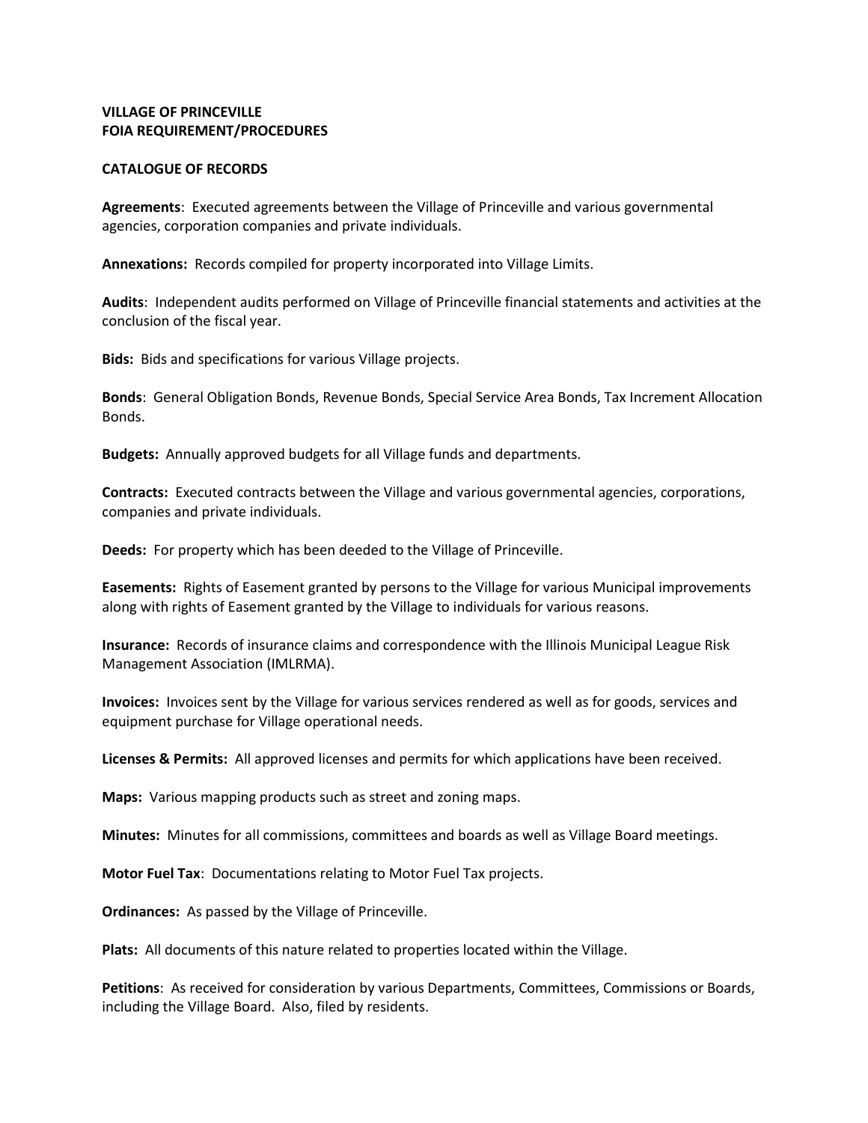#### **CATALOGUE OF RECORDS**

**Agreements**: Executed agreements between the Village of Princeville and various governmental agencies, corporation companies and private individuals.

**Annexations:** Records compiled for property incorporated into Village Limits.

**Audits**: Independent audits performed on Village of Princeville financial statements and activities at the conclusion of the fiscal year.

**Bids:** Bids and specifications for various Village projects.

**Bonds**: General Obligation Bonds, Revenue Bonds, Special Service Area Bonds, Tax Increment Allocation Bonds.

**Budgets:** Annually approved budgets for all Village funds and departments.

**Contracts:** Executed contracts between the Village and various governmental agencies, corporations, companies and private individuals.

**Deeds:** For property which has been deeded to the Village of Princeville.

**Easements:** Rights of Easement granted by persons to the Village for various Municipal improvements along with rights of Easement granted by the Village to individuals for various reasons.

**Insurance:** Records of insurance claims and correspondence with the Illinois Municipal League Risk Management Association (IMLRMA).

**Invoices:** Invoices sent by the Village for various services rendered as well as for goods, services and equipment purchase for Village operational needs.

**Licenses & Permits:** All approved licenses and permits for which applications have been received.

**Maps:** Various mapping products such as street and zoning maps.

**Minutes:** Minutes for all commissions, committees and boards as well as Village Board meetings.

**Motor Fuel Tax**: Documentations relating to Motor Fuel Tax projects.

**Ordinances:** As passed by the Village of Princeville.

**Plats:** All documents of this nature related to properties located within the Village.

**Petitions**: As received for consideration by various Departments, Committees, Commissions or Boards, including the Village Board. Also, filed by residents.